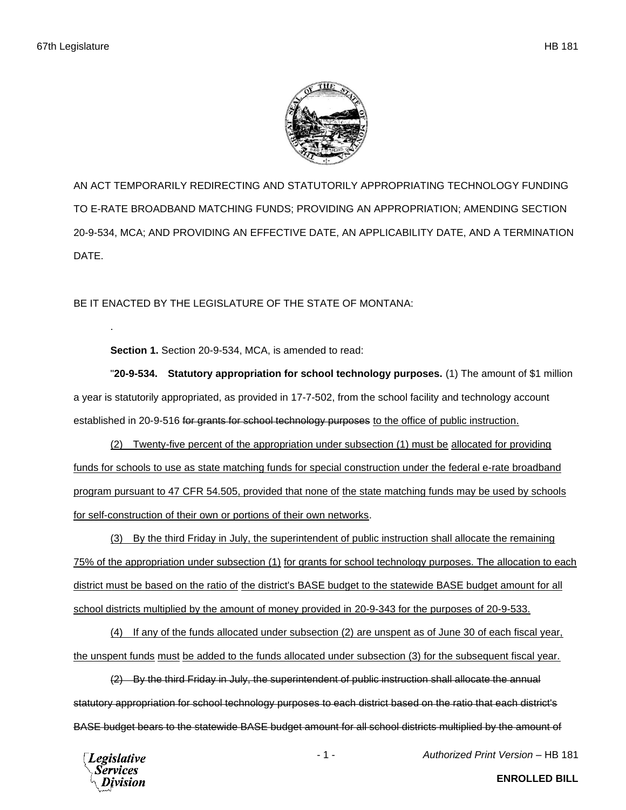

AN ACT TEMPORARILY REDIRECTING AND STATUTORILY APPROPRIATING TECHNOLOGY FUNDING TO E-RATE BROADBAND MATCHING FUNDS; PROVIDING AN APPROPRIATION; AMENDING SECTION 20-9-534, MCA; AND PROVIDING AN EFFECTIVE DATE, AN APPLICABILITY DATE, AND A TERMINATION DATE.

BE IT ENACTED BY THE LEGISLATURE OF THE STATE OF MONTANA:

**Section 1.** Section 20-9-534, MCA, is amended to read:

"**20-9-534. Statutory appropriation for school technology purposes.** (1) The amount of \$1 million a year is statutorily appropriated, as provided in 17-7-502, from the school facility and technology account established in 20-9-516 for grants for school technology purposes to the office of public instruction.

(2) Twenty-five percent of the appropriation under subsection (1) must be allocated for providing funds for schools to use as state matching funds for special construction under the federal e-rate broadband program pursuant to 47 CFR 54.505, provided that none of the state matching funds may be used by schools for self-construction of their own or portions of their own networks.

(3) By the third Friday in July, the superintendent of public instruction shall allocate the remaining 75% of the appropriation under subsection (1) for grants for school technology purposes. The allocation to each district must be based on the ratio of the district's BASE budget to the statewide BASE budget amount for all school districts multiplied by the amount of money provided in 20-9-343 for the purposes of 20-9-533.

(4) If any of the funds allocated under subsection (2) are unspent as of June 30 of each fiscal year, the unspent funds must be added to the funds allocated under subsection (3) for the subsequent fiscal year.

(2) By the third Friday in July, the superintendent of public instruction shall allocate the annual statutory appropriation for school technology purposes to each district based on the ratio that each district's BASE budget bears to the statewide BASE budget amount for all school districts multiplied by the amount of



.

- 1 - *Authorized Print Version* – HB 181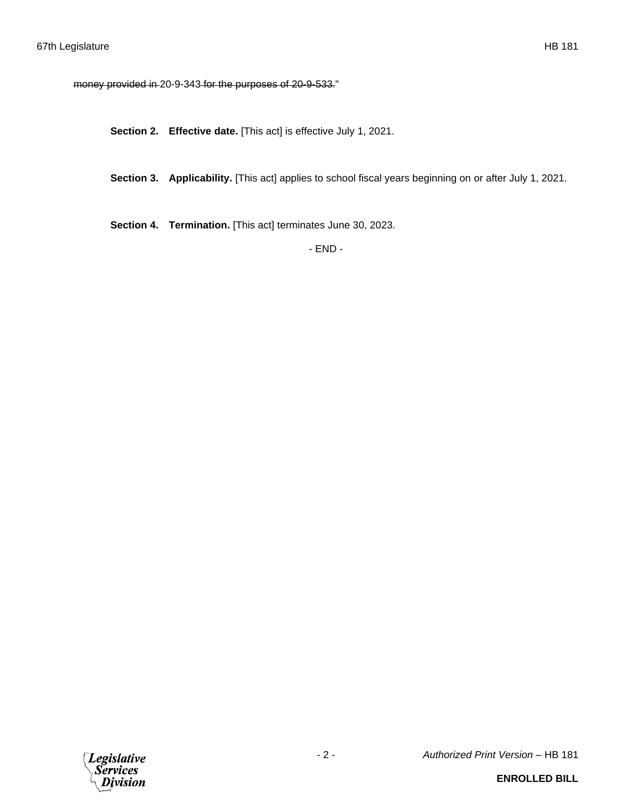money provided in 20-9-343 for the purposes of 20-9-533."

**Section 2. Effective date.** [This act] is effective July 1, 2021.

**Section 3. Applicability.** [This act] applies to school fiscal years beginning on or after July 1, 2021.

**Section 4. Termination.** [This act] terminates June 30, 2023.

- END -

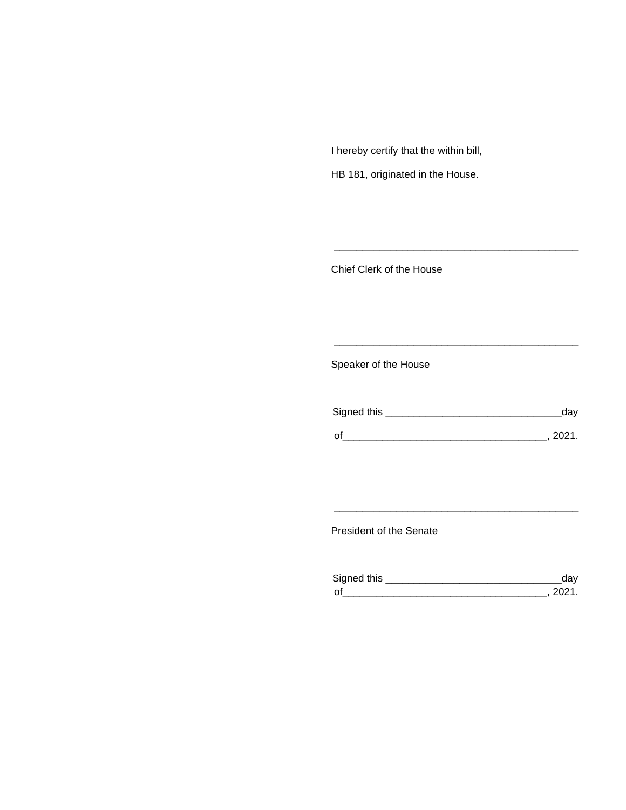I hereby certify that the within bill,

HB 181, originated in the House.

Chief Clerk of the House

Speaker of the House

| Signed this | dav    |
|-------------|--------|
| $\Omega$    | - 2021 |

\_\_\_\_\_\_\_\_\_\_\_\_\_\_\_\_\_\_\_\_\_\_\_\_\_\_\_\_\_\_\_\_\_\_\_\_\_\_\_\_\_\_\_

\_\_\_\_\_\_\_\_\_\_\_\_\_\_\_\_\_\_\_\_\_\_\_\_\_\_\_\_\_\_\_\_\_\_\_\_\_\_\_\_\_\_\_

President of the Senate

| Sianed this |  |
|-------------|--|
| $\Omega$    |  |

\_\_\_\_\_\_\_\_\_\_\_\_\_\_\_\_\_\_\_\_\_\_\_\_\_\_\_\_\_\_\_\_\_\_\_\_\_\_\_\_\_\_\_